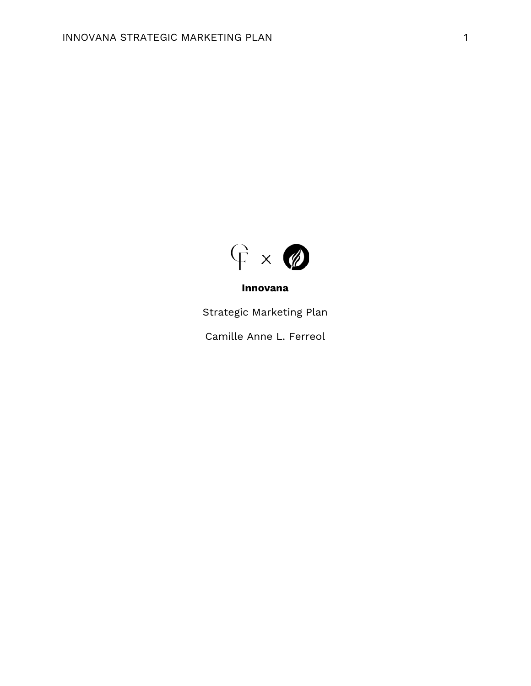

## **Innovana**

Strategic Marketing Plan

Camille Anne L. Ferreol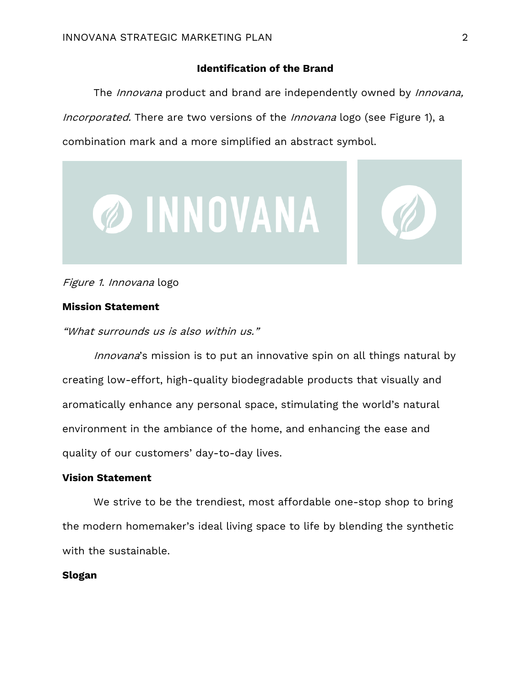# **Identification of the Brand**

The *Innovana* product and brand are independently owned by *Innovana*, Incorporated. There are two versions of the Innovana logo (see Figure 1), a combination mark and a more simplified an abstract symbol.





# Figure 1. Innovana logo

## **Mission Statement**

"What surrounds us is also within us."

Innovana's mission is to put an innovative spin on all things natural by creating low-effort, high-quality biodegradable products that visually and aromatically enhance any personal space, stimulating the world's natural environment in the ambiance of the home, and enhancing the ease and quality of our customers' day-to-day lives.

# **Vision Statement**

We strive to be the trendiest, most affordable one-stop shop to bring the modern homemaker's ideal living space to life by blending the synthetic with the sustainable.

#### **Slogan**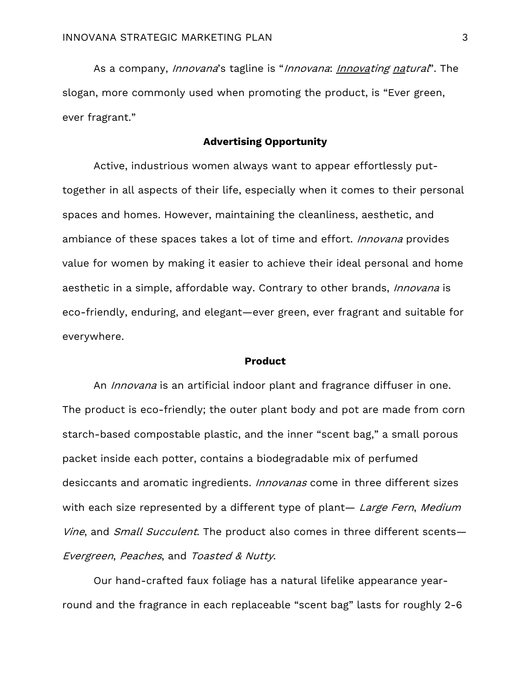As a company, *Innovana*'s tagline is "*Innovana*: *Innovating natural*". The slogan, more commonly used when promoting the product, is "Ever green, ever fragrant."

# **Advertising Opportunity**

Active, industrious women always want to appear effortlessly puttogether in all aspects of their life, especially when it comes to their personal spaces and homes. However, maintaining the cleanliness, aesthetic, and ambiance of these spaces takes a lot of time and effort. *Innovana* provides value for women by making it easier to achieve their ideal personal and home aesthetic in a simple, affordable way. Contrary to other brands, *Innovana* is eco-friendly, enduring, and elegant—ever green, ever fragrant and suitable for everywhere.

#### **Product**

An *Innovana* is an artificial indoor plant and fragrance diffuser in one. The product is eco-friendly; the outer plant body and pot are made from corn starch-based compostable plastic, and the inner "scent bag," a small porous packet inside each potter, contains a biodegradable mix of perfumed desiccants and aromatic ingredients. *Innovanas* come in three different sizes with each size represented by a different type of plant— Large Fern, Medium Vine, and Small Succulent. The product also comes in three different scents-Evergreen, Peaches, and Toasted & Nutty.

Our hand-crafted faux foliage has a natural lifelike appearance yearround and the fragrance in each replaceable "scent bag" lasts for roughly 2-6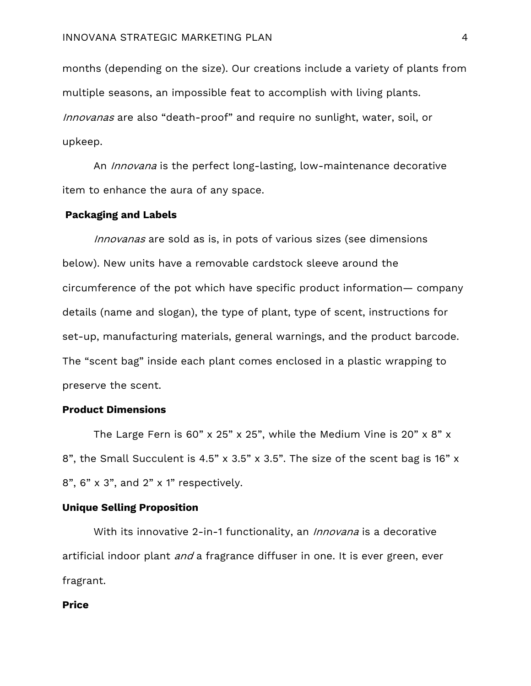months (depending on the size). Our creations include a variety of plants from multiple seasons, an impossible feat to accomplish with living plants. Innovanas are also "death-proof" and require no sunlight, water, soil, or upkeep.

An *Innovana* is the perfect long-lasting, low-maintenance decorative item to enhance the aura of any space.

#### **Packaging and Labels**

Innovanas are sold as is, in pots of various sizes (see dimensions below). New units have a removable cardstock sleeve around the circumference of the pot which have specific product information— company details (name and slogan), the type of plant, type of scent, instructions for set-up, manufacturing materials, general warnings, and the product barcode. The "scent bag" inside each plant comes enclosed in a plastic wrapping to preserve the scent.

### **Product Dimensions**

The Large Fern is 60" x 25" x 25", while the Medium Vine is 20" x 8" x 8", the Small Succulent is 4.5" x 3.5" x 3.5". The size of the scent bag is 16" x 8", 6" x 3", and 2" x 1" respectively.

#### **Unique Selling Proposition**

With its innovative 2-in-1 functionality, an *Innovana* is a decorative artificial indoor plant and a fragrance diffuser in one. It is ever green, ever fragrant.

## **Price**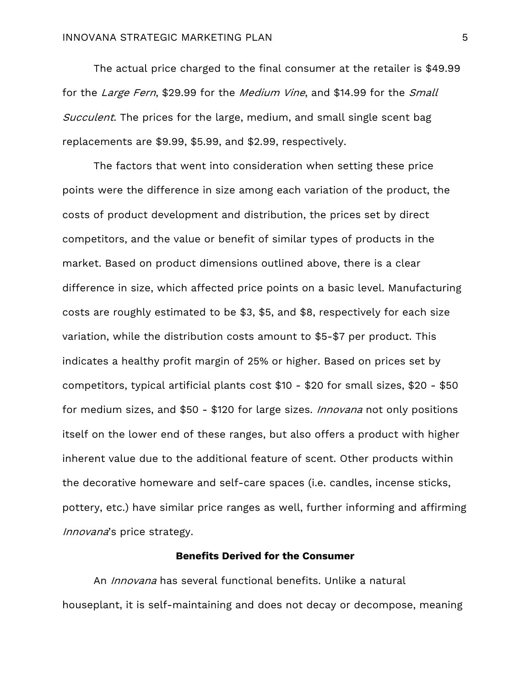The actual price charged to the final consumer at the retailer is \$49.99 for the Large Fern, \$29.99 for the Medium Vine, and \$14.99 for the Small Succulent. The prices for the large, medium, and small single scent bag replacements are \$9.99, \$5.99, and \$2.99, respectively.

The factors that went into consideration when setting these price points were the difference in size among each variation of the product, the costs of product development and distribution, the prices set by direct competitors, and the value or benefit of similar types of products in the market. Based on product dimensions outlined above, there is a clear difference in size, which affected price points on a basic level. Manufacturing costs are roughly estimated to be \$3, \$5, and \$8, respectively for each size variation, while the distribution costs amount to \$5-\$7 per product. This indicates a healthy profit margin of 25% or higher. Based on prices set by competitors, typical artificial plants cost \$10 - \$20 for small sizes, \$20 - \$50 for medium sizes, and \$50 - \$120 for large sizes. *Innovana* not only positions itself on the lower end of these ranges, but also offers a product with higher inherent value due to the additional feature of scent. Other products within the decorative homeware and self-care spaces (i.e. candles, incense sticks, pottery, etc.) have similar price ranges as well, further informing and affirming Innovana's price strategy.

## **Benefits Derived for the Consumer**

An *Innovana* has several functional benefits. Unlike a natural houseplant, it is self-maintaining and does not decay or decompose, meaning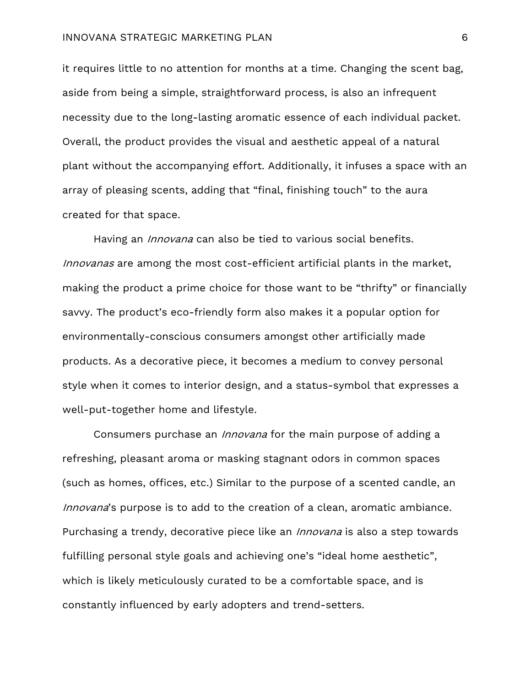#### INNOVANA STRATEGIC MARKETING PLAN 6

it requires little to no attention for months at a time. Changing the scent bag, aside from being a simple, straightforward process, is also an infrequent necessity due to the long-lasting aromatic essence of each individual packet. Overall, the product provides the visual and aesthetic appeal of a natural plant without the accompanying effort. Additionally, it infuses a space with an array of pleasing scents, adding that "final, finishing touch" to the aura created for that space.

Having an *Innovana* can also be tied to various social benefits. Innovanas are among the most cost-efficient artificial plants in the market, making the product a prime choice for those want to be "thrifty" or financially savvy. The product's eco-friendly form also makes it a popular option for environmentally-conscious consumers amongst other artificially made products. As a decorative piece, it becomes a medium to convey personal style when it comes to interior design, and a status-symbol that expresses a well-put-together home and lifestyle.

Consumers purchase an *Innovana* for the main purpose of adding a refreshing, pleasant aroma or masking stagnant odors in common spaces (such as homes, offices, etc.) Similar to the purpose of a scented candle, an Innovana's purpose is to add to the creation of a clean, aromatic ambiance. Purchasing a trendy, decorative piece like an *Innovana* is also a step towards fulfilling personal style goals and achieving one's "ideal home aesthetic", which is likely meticulously curated to be a comfortable space, and is constantly influenced by early adopters and trend-setters.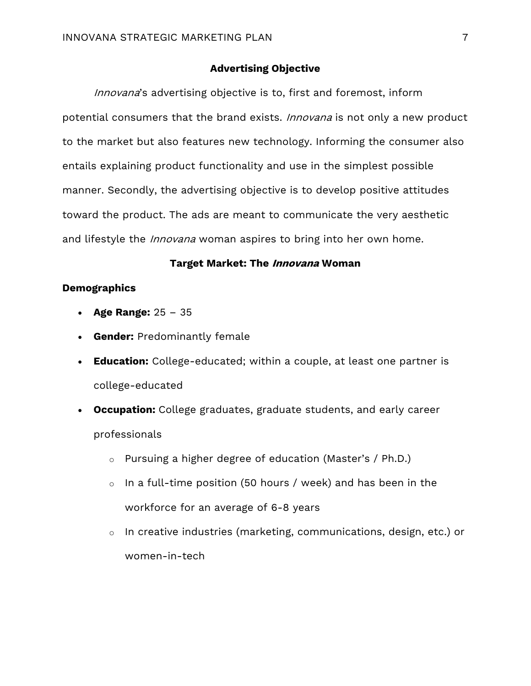## **Advertising Objective**

Innovana's advertising objective is to, first and foremost, inform potential consumers that the brand exists. Innovana is not only a new product to the market but also features new technology. Informing the consumer also entails explaining product functionality and use in the simplest possible manner. Secondly, the advertising objective is to develop positive attitudes toward the product. The ads are meant to communicate the very aesthetic and lifestyle the *Innovana* woman aspires to bring into her own home.

## **Target Market: The Innovana Woman**

## **Demographics**

- **Age Range:** 25 35
- **Gender:** Predominantly female
- **Education:** College-educated; within a couple, at least one partner is college-educated
- **Occupation:** College graduates, graduate students, and early career professionals
	- o Pursuing a higher degree of education (Master's / Ph.D.)
	- o In a full-time position (50 hours / week) and has been in the workforce for an average of 6-8 years
	- o In creative industries (marketing, communications, design, etc.) or women-in-tech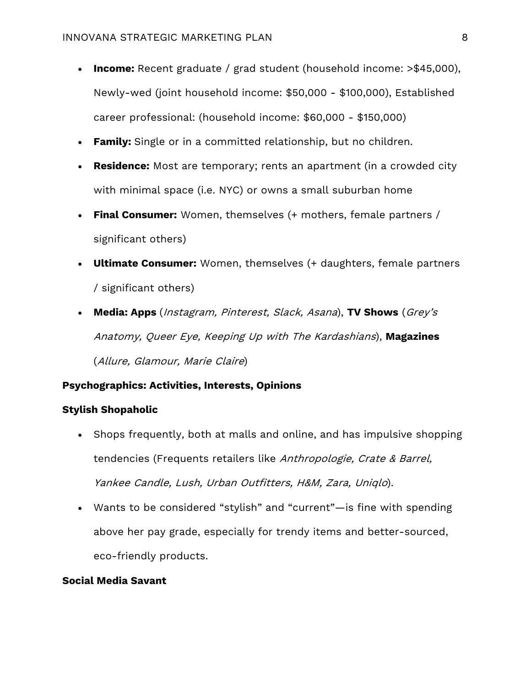- **Income:** Recent graduate / grad student (household income: >\$45,000), Newly-wed (joint household income: \$50,000 - \$100,000), Established career professional: (household income: \$60,000 - \$150,000)
- **Family:** Single or in a committed relationship, but no children.
- **Residence:** Most are temporary; rents an apartment (in a crowded city with minimal space (i.e. NYC) or owns a small suburban home
- **Final Consumer:** Women, themselves (+ mothers, female partners / significant others)
- **Ultimate Consumer:** Women, themselves (+ daughters, female partners / significant others)
- **Media: Apps** (Instagram, Pinterest, Slack, Asana), **TV Shows** (Grey's Anatomy, Queer Eye, Keeping Up with The Kardashians), **Magazines** (Allure, Glamour, Marie Claire)

# **Psychographics: Activities, Interests, Opinions**

## **Stylish Shopaholic**

- Shops frequently, both at malls and online, and has impulsive shopping tendencies (Frequents retailers like Anthropologie, Crate & Barrel, Yankee Candle, Lush, Urban Outfitters, H&M, Zara, Uniqlo).
- Wants to be considered "stylish" and "current"—is fine with spending above her pay grade, especially for trendy items and better-sourced, eco-friendly products.

#### **Social Media Savant**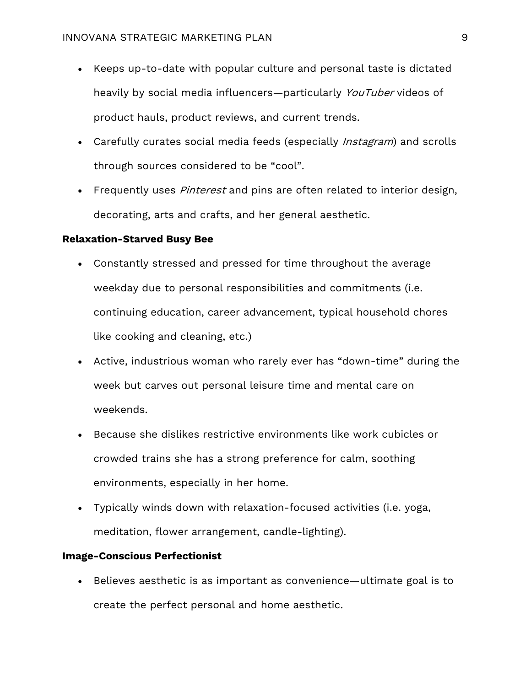- Keeps up-to-date with popular culture and personal taste is dictated heavily by social media influencers—particularly YouTuber videos of product hauls, product reviews, and current trends.
- Carefully curates social media feeds (especially Instagram) and scrolls through sources considered to be "cool".
- Frequently uses *Pinterest* and pins are often related to interior design, decorating, arts and crafts, and her general aesthetic.

## **Relaxation-Starved Busy Bee**

- Constantly stressed and pressed for time throughout the average weekday due to personal responsibilities and commitments (i.e. continuing education, career advancement, typical household chores like cooking and cleaning, etc.)
- Active, industrious woman who rarely ever has "down-time" during the week but carves out personal leisure time and mental care on weekends.
- Because she dislikes restrictive environments like work cubicles or crowded trains she has a strong preference for calm, soothing environments, especially in her home.
- Typically winds down with relaxation-focused activities (i.e. yoga, meditation, flower arrangement, candle-lighting).

## **Image-Conscious Perfectionist**

• Believes aesthetic is as important as convenience—ultimate goal is to create the perfect personal and home aesthetic.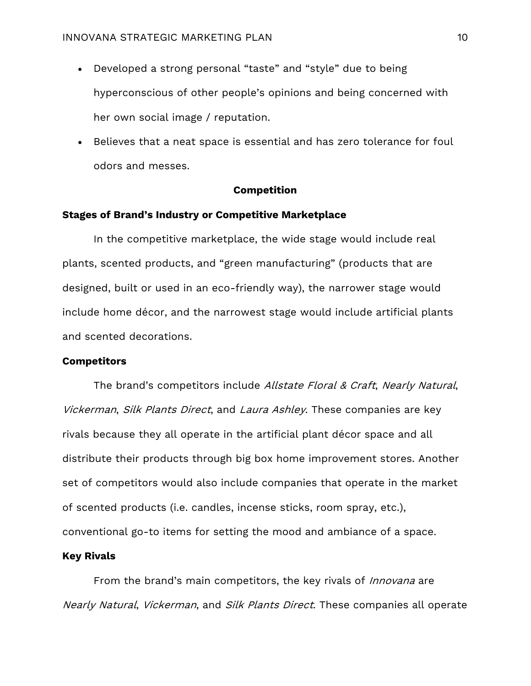- Developed a strong personal "taste" and "style" due to being hyperconscious of other people's opinions and being concerned with her own social image / reputation.
- Believes that a neat space is essential and has zero tolerance for foul odors and messes.

## **Competition**

## **Stages of Brand's Industry or Competitive Marketplace**

In the competitive marketplace, the wide stage would include real plants, scented products, and "green manufacturing" (products that are designed, built or used in an eco-friendly way), the narrower stage would include home décor, and the narrowest stage would include artificial plants and scented decorations.

#### **Competitors**

The brand's competitors include Allstate Floral & Craft, Nearly Natural, Vickerman, Silk Plants Direct, and Laura Ashley. These companies are key rivals because they all operate in the artificial plant décor space and all distribute their products through big box home improvement stores. Another set of competitors would also include companies that operate in the market of scented products (i.e. candles, incense sticks, room spray, etc.), conventional go-to items for setting the mood and ambiance of a space.

#### **Key Rivals**

From the brand's main competitors, the key rivals of *Innovana* are Nearly Natural, Vickerman, and Silk Plants Direct. These companies all operate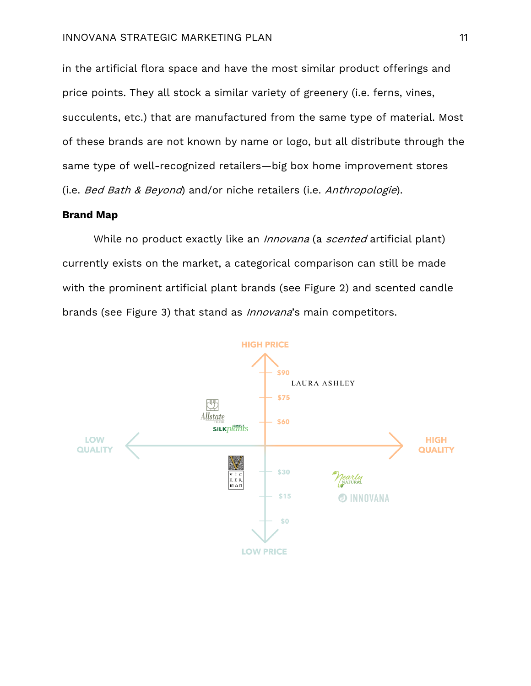in the artificial flora space and have the most similar product offerings and price points. They all stock a similar variety of greenery (i.e. ferns, vines, succulents, etc.) that are manufactured from the same type of material. Most of these brands are not known by name or logo, but all distribute through the same type of well-recognized retailers—big box home improvement stores (i.e. Bed Bath & Beyond) and/or niche retailers (i.e. Anthropologie).

## **Brand Map**

While no product exactly like an *Innovana* (a *scented* artificial plant) currently exists on the market, a categorical comparison can still be made with the prominent artificial plant brands (see Figure 2) and scented candle brands (see Figure 3) that stand as *Innovana*'s main competitors.

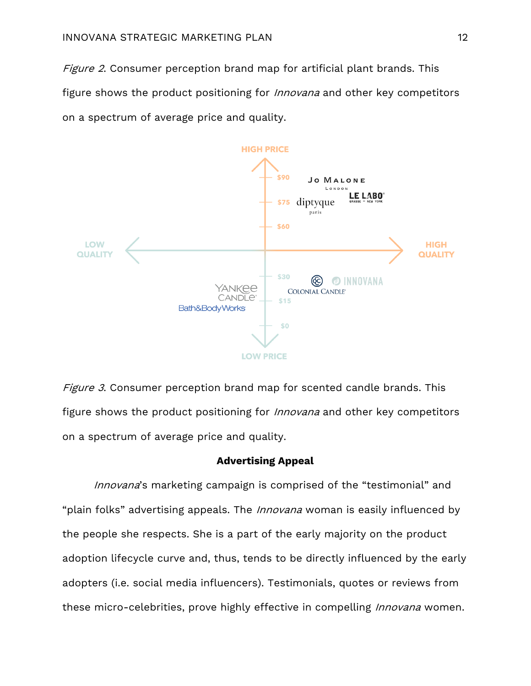Figure 2. Consumer perception brand map for artificial plant brands. This figure shows the product positioning for *Innovana* and other key competitors on a spectrum of average price and quality.



Figure 3. Consumer perception brand map for scented candle brands. This figure shows the product positioning for *Innovana* and other key competitors on a spectrum of average price and quality.

#### **Advertising Appeal**

Innovana's marketing campaign is comprised of the "testimonial" and "plain folks" advertising appeals. The *Innovana* woman is easily influenced by the people she respects. She is a part of the early majority on the product adoption lifecycle curve and, thus, tends to be directly influenced by the early adopters (i.e. social media influencers). Testimonials, quotes or reviews from these micro-celebrities, prove highly effective in compelling *Innovana* women.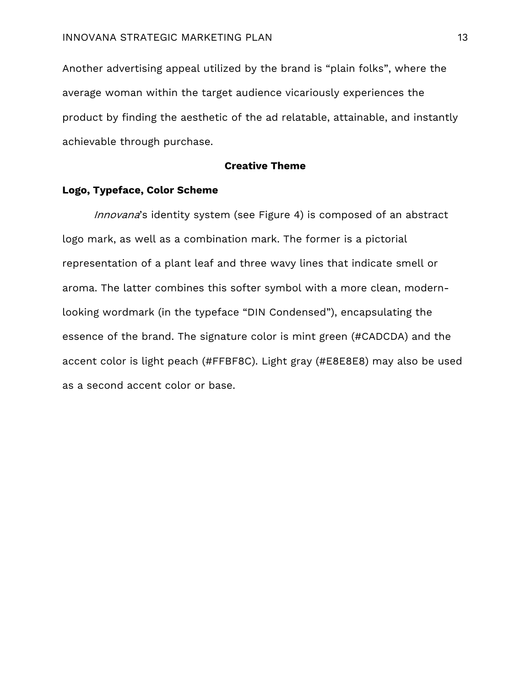Another advertising appeal utilized by the brand is "plain folks", where the average woman within the target audience vicariously experiences the product by finding the aesthetic of the ad relatable, attainable, and instantly achievable through purchase.

## **Creative Theme**

#### **Logo, Typeface, Color Scheme**

Innovana's identity system (see Figure 4) is composed of an abstract logo mark, as well as a combination mark. The former is a pictorial representation of a plant leaf and three wavy lines that indicate smell or aroma. The latter combines this softer symbol with a more clean, modernlooking wordmark (in the typeface "DIN Condensed"), encapsulating the essence of the brand. The signature color is mint green (#CADCDA) and the accent color is light peach (#FFBF8C). Light gray (#E8E8E8) may also be used as a second accent color or base.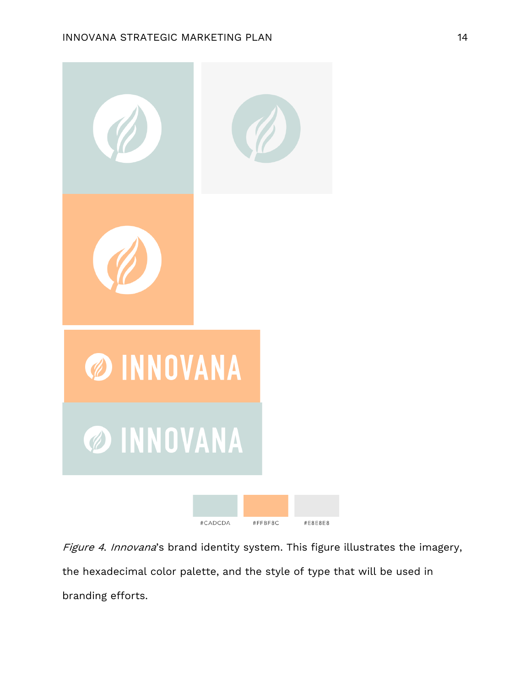

Figure 4. Innovana's brand identity system. This figure illustrates the imagery, the hexadecimal color palette, and the style of type that will be used in branding efforts.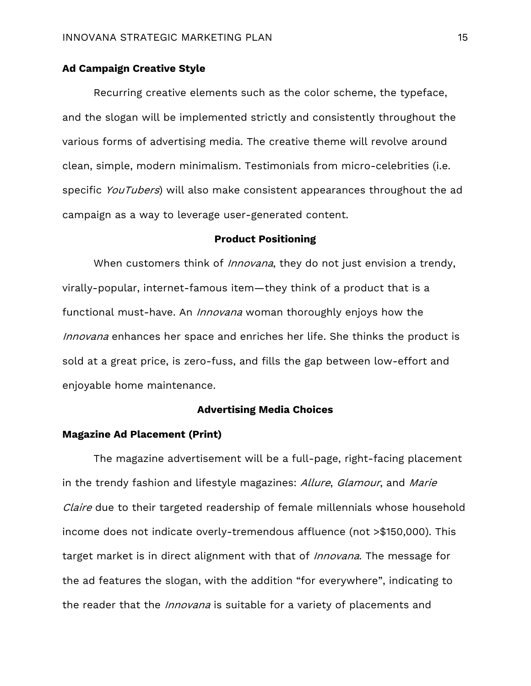# **Ad Campaign Creative Style**

Recurring creative elements such as the color scheme, the typeface, and the slogan will be implemented strictly and consistently throughout the various forms of advertising media. The creative theme will revolve around clean, simple, modern minimalism. Testimonials from micro-celebrities (i.e. specific YouTubers) will also make consistent appearances throughout the ad campaign as a way to leverage user-generated content.

### **Product Positioning**

When customers think of *Innovana*, they do not just envision a trendy, virally-popular, internet-famous item—they think of a product that is a functional must-have. An *Innovana* woman thoroughly enjoys how the Innovana enhances her space and enriches her life. She thinks the product is sold at a great price, is zero-fuss, and fills the gap between low-effort and enjoyable home maintenance.

## **Advertising Media Choices**

## **Magazine Ad Placement (Print)**

The magazine advertisement will be a full-page, right-facing placement in the trendy fashion and lifestyle magazines: Allure, Glamour, and Marie Claire due to their targeted readership of female millennials whose household income does not indicate overly-tremendous affluence (not >\$150,000). This target market is in direct alignment with that of Innovana. The message for the ad features the slogan, with the addition "for everywhere", indicating to the reader that the *Innovana* is suitable for a variety of placements and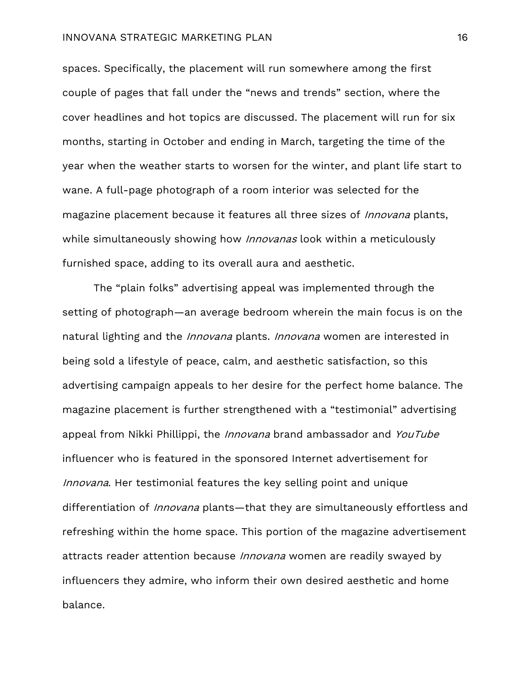#### INNOVANA STRATEGIC MARKETING PLAN 16

spaces. Specifically, the placement will run somewhere among the first couple of pages that fall under the "news and trends" section, where the cover headlines and hot topics are discussed. The placement will run for six months, starting in October and ending in March, targeting the time of the year when the weather starts to worsen for the winter, and plant life start to wane. A full-page photograph of a room interior was selected for the magazine placement because it features all three sizes of *Innovana* plants, while simultaneously showing how *Innovanas* look within a meticulously furnished space, adding to its overall aura and aesthetic.

The "plain folks" advertising appeal was implemented through the setting of photograph—an average bedroom wherein the main focus is on the natural lighting and the *Innovana* plants. *Innovana* women are interested in being sold a lifestyle of peace, calm, and aesthetic satisfaction, so this advertising campaign appeals to her desire for the perfect home balance. The magazine placement is further strengthened with a "testimonial" advertising appeal from Nikki Phillippi, the Innovana brand ambassador and YouTube influencer who is featured in the sponsored Internet advertisement for Innovana. Her testimonial features the key selling point and unique differentiation of *Innovana* plants—that they are simultaneously effortless and refreshing within the home space. This portion of the magazine advertisement attracts reader attention because *Innovana* women are readily swayed by influencers they admire, who inform their own desired aesthetic and home balance.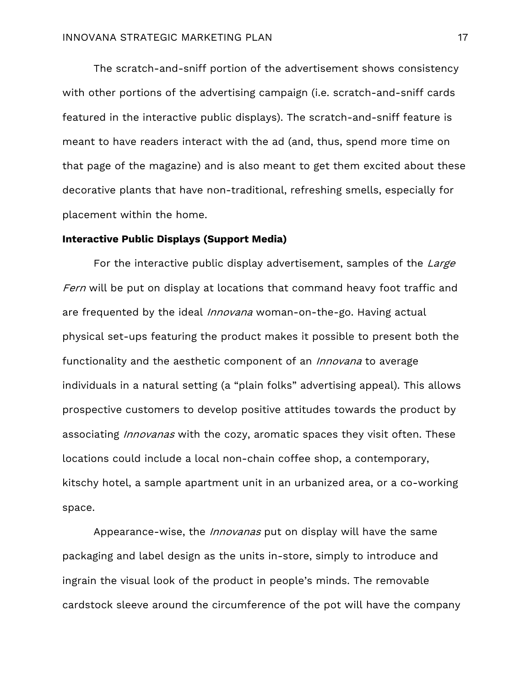The scratch-and-sniff portion of the advertisement shows consistency with other portions of the advertising campaign (i.e. scratch-and-sniff cards featured in the interactive public displays). The scratch-and-sniff feature is meant to have readers interact with the ad (and, thus, spend more time on that page of the magazine) and is also meant to get them excited about these decorative plants that have non-traditional, refreshing smells, especially for placement within the home.

# **Interactive Public Displays (Support Media)**

For the interactive public display advertisement, samples of the Large Fern will be put on display at locations that command heavy foot traffic and are frequented by the ideal Innovana woman-on-the-go. Having actual physical set-ups featuring the product makes it possible to present both the functionality and the aesthetic component of an *Innovana* to average individuals in a natural setting (a "plain folks" advertising appeal). This allows prospective customers to develop positive attitudes towards the product by associating *Innovanas* with the cozy, aromatic spaces they visit often. These locations could include a local non-chain coffee shop, a contemporary, kitschy hotel, a sample apartment unit in an urbanized area, or a co-working space.

Appearance-wise, the *Innovanas* put on display will have the same packaging and label design as the units in-store, simply to introduce and ingrain the visual look of the product in people's minds. The removable cardstock sleeve around the circumference of the pot will have the company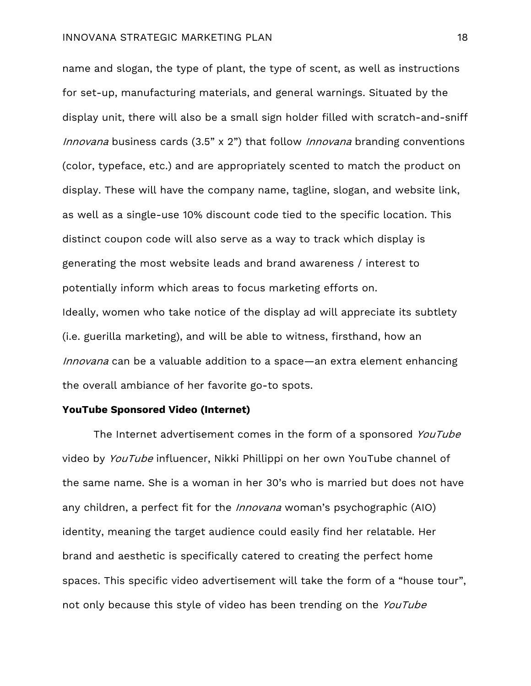name and slogan, the type of plant, the type of scent, as well as instructions for set-up, manufacturing materials, and general warnings. Situated by the display unit, there will also be a small sign holder filled with scratch-and-sniff Innovana business cards (3.5" x 2") that follow Innovana branding conventions (color, typeface, etc.) and are appropriately scented to match the product on display. These will have the company name, tagline, slogan, and website link, as well as a single-use 10% discount code tied to the specific location. This distinct coupon code will also serve as a way to track which display is generating the most website leads and brand awareness / interest to potentially inform which areas to focus marketing efforts on. Ideally, women who take notice of the display ad will appreciate its subtlety (i.e. guerilla marketing), and will be able to witness, firsthand, how an Innovana can be a valuable addition to a space—an extra element enhancing the overall ambiance of her favorite go-to spots.

# **YouTube Sponsored Video (Internet)**

The Internet advertisement comes in the form of a sponsored YouTube video by YouTube influencer, Nikki Phillippi on her own YouTube channel of the same name. She is a woman in her 30's who is married but does not have any children, a perfect fit for the *Innovana* woman's psychographic (AIO) identity, meaning the target audience could easily find her relatable. Her brand and aesthetic is specifically catered to creating the perfect home spaces. This specific video advertisement will take the form of a "house tour", not only because this style of video has been trending on the YouTube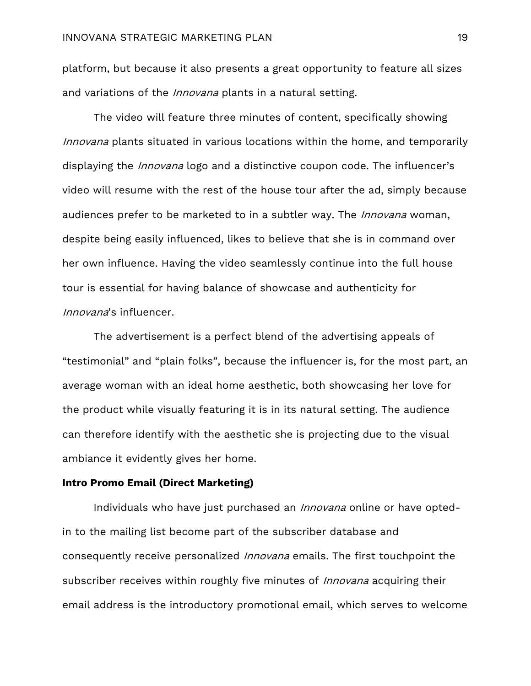platform, but because it also presents a great opportunity to feature all sizes and variations of the *Innovana* plants in a natural setting.

The video will feature three minutes of content, specifically showing Innovana plants situated in various locations within the home, and temporarily displaying the *Innovana* logo and a distinctive coupon code. The influencer's video will resume with the rest of the house tour after the ad, simply because audiences prefer to be marketed to in a subtler way. The *Innovana* woman, despite being easily influenced, likes to believe that she is in command over her own influence. Having the video seamlessly continue into the full house tour is essential for having balance of showcase and authenticity for Innovana's influencer.

The advertisement is a perfect blend of the advertising appeals of "testimonial" and "plain folks", because the influencer is, for the most part, an average woman with an ideal home aesthetic, both showcasing her love for the product while visually featuring it is in its natural setting. The audience can therefore identify with the aesthetic she is projecting due to the visual ambiance it evidently gives her home.

#### **Intro Promo Email (Direct Marketing)**

Individuals who have just purchased an *Innovana* online or have optedin to the mailing list become part of the subscriber database and consequently receive personalized Innovana emails. The first touchpoint the subscriber receives within roughly five minutes of *Innovana* acquiring their email address is the introductory promotional email, which serves to welcome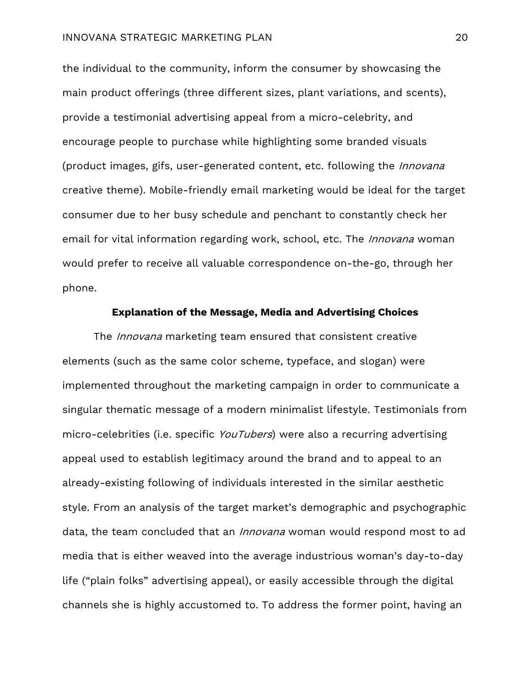#### INNOVANA STRATEGIC MARKETING PLAN 20

the individual to the community, inform the consumer by showcasing the main product offerings (three different sizes, plant variations, and scents), provide a testimonial advertising appeal from a micro-celebrity, and encourage people to purchase while highlighting some branded visuals (product images, gifs, user-generated content, etc. following the *Innovana* creative theme). Mobile-friendly email marketing would be ideal for the target consumer due to her busy schedule and penchant to constantly check her email for vital information regarding work, school, etc. The *Innovana* woman would prefer to receive all valuable correspondence on-the-go, through her phone.

#### **Explanation of the Message, Media and Advertising Choices**

The Innovana marketing team ensured that consistent creative elements (such as the same color scheme, typeface, and slogan) were implemented throughout the marketing campaign in order to communicate a singular thematic message of a modern minimalist lifestyle. Testimonials from micro-celebrities (i.e. specific YouTubers) were also a recurring advertising appeal used to establish legitimacy around the brand and to appeal to an already-existing following of individuals interested in the similar aesthetic style. From an analysis of the target market's demographic and psychographic data, the team concluded that an *Innovana* woman would respond most to ad media that is either weaved into the average industrious woman's day-to-day life ("plain folks" advertising appeal), or easily accessible through the digital channels she is highly accustomed to. To address the former point, having an